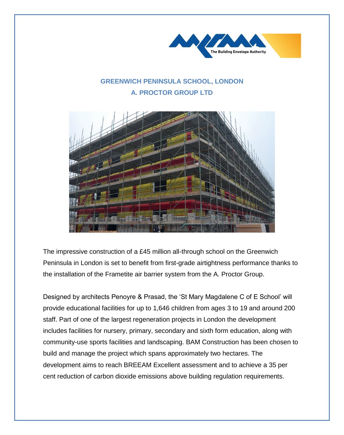

## **GREENWICH PENINSULA SCHOOL, LONDON A. PROCTOR GROUP LTD**



The impressive construction of a £45 million all-through school on the Greenwich Peninsula in London is set to benefit from first-grade airtightness performance thanks to the installation of the Frametite air barrier system from the A. Proctor Group.

Designed by architects Penoyre & Prasad, the 'St Mary Magdalene C of E School' will provide educational facilities for up to 1,646 children from ages 3 to 19 and around 200 staff. Part of one of the largest regeneration projects in London the development includes facilities for nursery, primary, secondary and sixth form education, along with community-use sports facilities and landscaping. BAM Construction has been chosen to build and manage the project which spans approximately two hectares. The development aims to reach BREEAM Excellent assessment and to achieve a 35 per cent reduction of carbon dioxide emissions above building regulation requirements.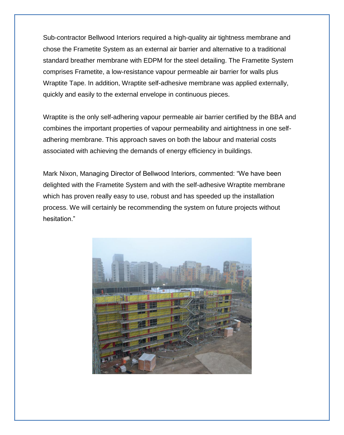Sub-contractor Bellwood Interiors required a high-quality air tightness membrane and chose the Frametite System as an external air barrier and alternative to a traditional standard breather membrane with EDPM for the steel detailing. The Frametite System comprises Frametite, a low-resistance vapour permeable air barrier for walls plus Wraptite Tape. In addition, Wraptite self-adhesive membrane was applied externally, quickly and easily to the external envelope in continuous pieces.

Wraptite is the only self-adhering vapour permeable air barrier certified by the BBA and combines the important properties of vapour permeability and airtightness in one selfadhering membrane. This approach saves on both the labour and material costs associated with achieving the demands of energy efficiency in buildings.

Mark Nixon, Managing Director of Bellwood Interiors, commented: "We have been delighted with the Frametite System and with the self-adhesive Wraptite membrane which has proven really easy to use, robust and has speeded up the installation process. We will certainly be recommending the system on future projects without hesitation."